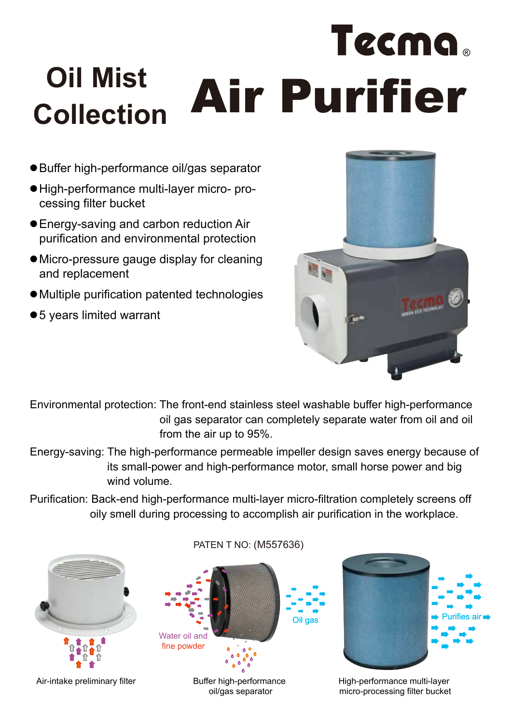## Tecma. **Oil Mist Collection Air Purifier**

- Buffer high-performance oil/gas separator
- High-performance multi-layer micro- processing filter bucket
- Energy-saving and carbon reduction Air purification and environmental protection
- Micro-pressure gauge display for cleaning and replacement
- Multiple purification patented technologies
- 5 years limited warrant



Environmental protection: The front-end stainless steel washable buffer high-performance oil gas separator can completely separate water from oil and oil from the air up to 95%.

- Energy-saving: The high-performance permeable impeller design saves energy because of its small-power and high-performance motor, small horse power and big wind volume.
- Purification: Back-end high-performance multi-layer micro-filtration completely screens off oily smell during processing to accomplish air purification in the workplace.



Air-intake preliminary filter Buffer high-performance

oil/gas separator

fine powder



High-performance multi-layer micro-processing filter bucket

## PATEN T NO: (M557636)

Oil gas